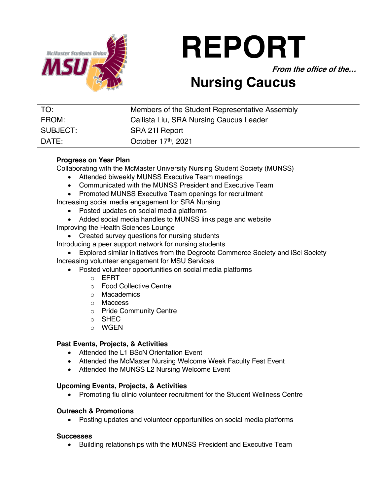

# **REPORT**

**From the office of the…**

# **Nursing Caucus**

| TO:      | Members of the Student Representative Assembly |
|----------|------------------------------------------------|
| FROM:    | Callista Liu, SRA Nursing Caucus Leader        |
| SUBJECT: | SRA 211 Report                                 |
| DATE:    | October 17th, 2021                             |

## **Progress on Year Plan**

Collaborating with the McMaster University Nursing Student Society (MUNSS)

- Attended biweekly MUNSS Executive Team meetings
- Communicated with the MUNSS President and Executive Team
- Promoted MUNSS Executive Team openings for recruitment

Increasing social media engagement for SRA Nursing

- Posted updates on social media platforms
- Added social media handles to MUNSS links page and website
- Improving the Health Sciences Lounge
	- Created survey questions for nursing students
- Introducing a peer support network for nursing students
- Explored similar initiatives from the Degroote Commerce Society and iSci Society Increasing volunteer engagement for MSU Services
	- Posted volunteer opportunities on social media platforms
		- o EFRT
		- o Food Collective Centre
		- o Macademics
		- o Maccess
		- o Pride Community Centre
		- o SHEC
		- o WGEN

### **Past Events, Projects, & Activities**

- Attended the L1 BScN Orientation Event
- Attended the McMaster Nursing Welcome Week Faculty Fest Event
- Attended the MUNSS L2 Nursing Welcome Event

### **Upcoming Events, Projects, & Activities**

• Promoting flu clinic volunteer recruitment for the Student Wellness Centre

### **Outreach & Promotions**

• Posting updates and volunteer opportunities on social media platforms

#### **Successes**

• Building relationships with the MUNSS President and Executive Team